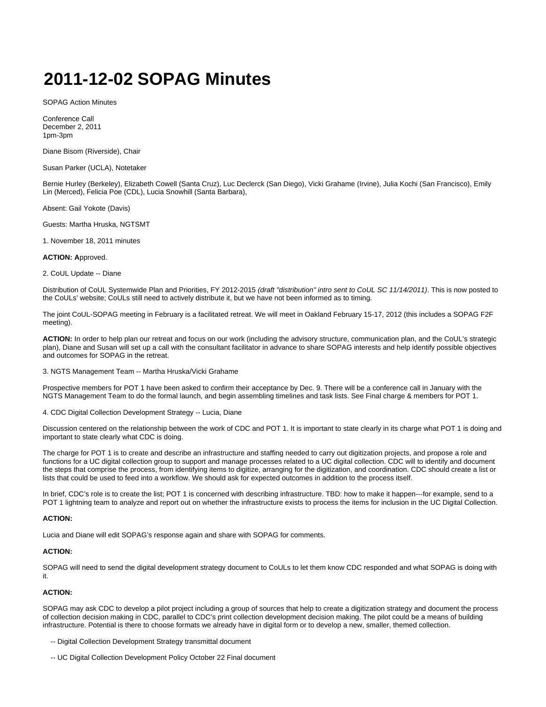# **2011-12-02 SOPAG Minutes**

SOPAG Action Minutes

Conference Call December 2, 2011 1pm-3pm

Diane Bisom (Riverside), Chair

Susan Parker (UCLA), Notetaker

Bernie Hurley (Berkeley), Elizabeth Cowell (Santa Cruz), Luc Declerck (San Diego), Vicki Grahame (Irvine), Julia Kochi (San Francisco), Emily Lin (Merced), Felicia Poe (CDL), Lucia Snowhill (Santa Barbara),

Absent: Gail Yokote (Davis)

Guests: Martha Hruska, NGTSMT

1. November 18, 2011 minutes

**ACTION: A**pproved.

2. CoUL Update -- Diane

Distribution of CoUL Systemwide Plan and Priorities, FY 2012-2015 (draft "distribution" intro sent to CoUL SC 11/14/2011). This is now posted to the CoULs' website; CoULs still need to actively distribute it, but we have not been informed as to timing.

The joint CoUL-SOPAG meeting in February is a facilitated retreat. We will meet in Oakland February 15-17, 2012 (this includes a SOPAG F2F meeting).

**ACTION:** In order to help plan our retreat and focus on our work (including the advisory structure, communication plan, and the CoUL's strategic plan), Diane and Susan will set up a call with the consultant facilitator in advance to share SOPAG interests and help identify possible objectives and outcomes for SOPAG in the retreat.

3. NGTS Management Team -- Martha Hruska/Vicki Grahame

Prospective members for POT 1 have been asked to confirm their acceptance by Dec. 9. There will be a conference call in January with the NGTS Management Team to do the formal launch, and begin assembling timelines and task lists. See Final charge & members for POT 1.

4. CDC Digital Collection Development Strategy -- Lucia, Diane

Discussion centered on the relationship between the work of CDC and POT 1. It is important to state clearly in its charge what POT 1 is doing and important to state clearly what CDC is doing.

The charge for POT 1 is to create and describe an infrastructure and staffing needed to carry out digitization projects, and propose a role and functions for a UC digital collection group to support and manage processes related to a UC digital collection. CDC will to identify and document the steps that comprise the process, from identifying items to digitize, arranging for the digitization, and coordination. CDC should create a list or lists that could be used to feed into a workflow. We should ask for expected outcomes in addition to the process itself.

In brief, CDC's role is to create the list; POT 1 is concerned with describing infrastructure. TBD: how to make it happen---for example, send to a POT 1 lightning team to analyze and report out on whether the infrastructure exists to process the items for inclusion in the UC Digital Collection.

#### **ACTION:**

Lucia and Diane will edit SOPAG's response again and share with SOPAG for comments.

## **ACTION:**

SOPAG will need to send the digital development strategy document to CoULs to let them know CDC responded and what SOPAG is doing with it.

## **ACTION:**

SOPAG may ask CDC to develop a pilot project including a group of sources that help to create a digitization strategy and document the process of collection decision making in CDC, parallel to CDC's print collection development decision making. The pilot could be a means of building infrastructure. Potential is there to choose formats we already have in digital form or to develop a new, smaller, themed collection.

- -- Digital Collection Development Strategy transmittal document
- -- UC Digital Collection Development Policy October 22 Final document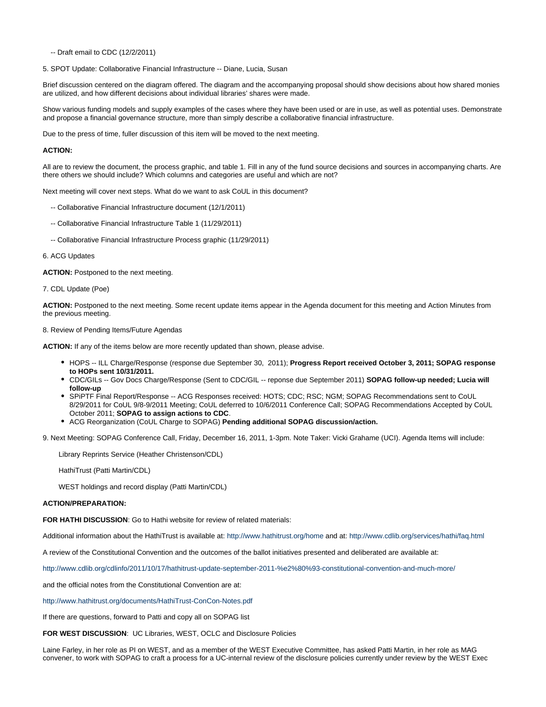-- Draft email to CDC (12/2/2011)

5. SPOT Update: Collaborative Financial Infrastructure -- Diane, Lucia, Susan

Brief discussion centered on the diagram offered. The diagram and the accompanying proposal should show decisions about how shared monies are utilized, and how different decisions about individual libraries' shares were made.

Show various funding models and supply examples of the cases where they have been used or are in use, as well as potential uses. Demonstrate and propose a financial governance structure, more than simply describe a collaborative financial infrastructure.

Due to the press of time, fuller discussion of this item will be moved to the next meeting.

## **ACTION:**

All are to review the document, the process graphic, and table 1. Fill in any of the fund source decisions and sources in accompanying charts. Are there others we should include? Which columns and categories are useful and which are not?

Next meeting will cover next steps. What do we want to ask CoUL in this document?

- -- Collaborative Financial Infrastructure document (12/1/2011)
- -- Collaborative Financial Infrastructure Table 1 (11/29/2011)
- -- Collaborative Financial Infrastructure Process graphic (11/29/2011)

### 6. ACG Updates

**ACTION:** Postponed to the next meeting.

7. CDL Update (Poe)

**ACTION:** Postponed to the next meeting. Some recent update items appear in the Agenda document for this meeting and Action Minutes from the previous meeting.

#### 8. Review of Pending Items/Future Agendas

**ACTION:** If any of the items below are more recently updated than shown, please advise.

- HOPS -- ILL Charge/Response (response due September 30, 2011); **Progress Report received October 3, 2011; SOPAG response to HOPs sent 10/31/2011.**
- CDC/GILs -- Gov Docs Charge/Response (Sent to CDC/GIL -- reponse due September 2011) **SOPAG follow-up needed; Lucia will follow-up**
- SPiPTF Final Report/Response -- ACG Responses received: HOTS; CDC; RSC; NGM; SOPAG Recommendations sent to CoUL 8/29/2011 for CoUL 9/8-9/2011 Meeting; CoUL deferred to 10/6/2011 Conference Call; SOPAG Recommendations Accepted by CoUL October 2011; **SOPAG to assign actions to CDC**.
- ACG Reorganization (CoUL Charge to SOPAG) **Pending additional SOPAG discussion/action.**

9. Next Meeting: SOPAG Conference Call, Friday, December 16, 2011, 1-3pm. Note Taker: Vicki Grahame (UCI). Agenda Items will include:

Library Reprints Service (Heather Christenson/CDL)

HathiTrust (Patti Martin/CDL)

WEST holdings and record display (Patti Martin/CDL)

## **ACTION/PREPARATION:**

**FOR HATHI DISCUSSION**: Go to Hathi website for review of related materials:

Additional information about the HathiTrust is available at: <http://www.hathitrust.org/home>and at: <http://www.cdlib.org/services/hathi/faq.html>

A review of the Constitutional Convention and the outcomes of the ballot initiatives presented and deliberated are available at:

<http://www.cdlib.org/cdlinfo/2011/10/17/hathitrust-update-september-2011-%e2%80%93-constitutional-convention-and-much-more/>

and the official notes from the Constitutional Convention are at:

<http://www.hathitrust.org/documents/HathiTrust-ConCon-Notes.pdf>

If there are questions, forward to Patti and copy all on SOPAG list

**FOR WEST DISCUSSION**: UC Libraries, WEST, OCLC and Disclosure Policies

Laine Farley, in her role as PI on WEST, and as a member of the WEST Executive Committee, has asked Patti Martin, in her role as MAG convener, to work with SOPAG to craft a process for a UC-internal review of the disclosure policies currently under review by the WEST Exec